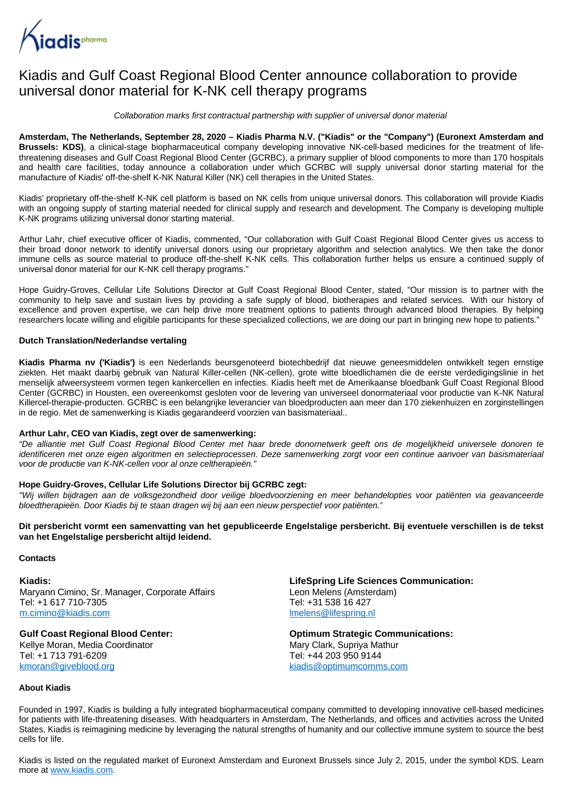

# Kiadis and Gulf Coast Regional Blood Center announce collaboration to provide universal donor material for K-NK cell therapy programs

Collaboration marks first contractual partnership with supplier of universal donor material

### **Amsterdam, The Netherlands, September 28, 2020 – Kiadis Pharma N.V. ("Kiadis" or the "Company") (Euronext Amsterdam and**

**Brussels: KDS)**, a clinical-stage biopharmaceutical company developing innovative NK-cell-based medicines for the treatment of lifethreatening diseases and Gulf Coast Regional Blood Center (GCRBC), a primary supplier of blood components to more than 170 hospitals and health care facilities, today announce a collaboration under which GCRBC will supply universal donor starting material for the manufacture of Kiadis' off-the-shelf K-NK Natural Killer (NK) cell therapies in the United States.

Kiadis' proprietary off-the-shelf K-NK cell platform is based on NK cells from unique universal donors. This collaboration will provide Kiadis with an ongoing supply of starting material needed for clinical supply and research and development. The Company is developing multiple K-NK programs utilizing universal donor starting material.

Arthur Lahr, chief executive officer of Kiadis, commented, "Our collaboration with Gulf Coast Regional Blood Center gives us access to their broad donor network to identify universal donors using our proprietary algorithm and selection analytics. We then take the donor immune cells as source material to produce off-the-shelf K-NK cells. This collaboration further helps us ensure a continued supply of universal donor material for our K-NK cell therapy programs."

Hope Guidry-Groves, Cellular Life Solutions Director at Gulf Coast Regional Blood Center, stated, "Our mission is to partner with the community to help save and sustain lives by providing a safe supply of blood, biotherapies and related services. With our history of excellence and proven expertise, we can help drive more treatment options to patients through advanced blood therapies. By helping researchers locate willing and eligible participants for these specialized collections, we are doing our part in bringing new hope to patients."

#### **Dutch Translation/Nederlandse vertaling**

**Kiadis Pharma nv ('Kiadis')** is een Nederlands beursgenoteerd biotechbedrijf dat nieuwe geneesmiddelen ontwikkelt tegen ernstige ziekten. Het maakt daarbij gebruik van Natural Killer-cellen (NK-cellen), grote witte bloedlichamen die de eerste verdedigingslinie in het menselijk afweersysteem vormen tegen kankercellen en infecties. Kiadis heeft met de Amerikaanse bloedbank Gulf Coast Regional Blood Center (GCRBC) in Housten, een overeenkomst gesloten voor de levering van universeel donormateriaal voor productie van K-NK Natural Killercel-therapie-producten. GCRBC is een belangrijke leverancier van bloedproducten aan meer dan 170 ziekenhuizen en zorginstellingen in de regio. Met de samenwerking is Kiadis gegarandeerd voorzien van basismateriaal..

#### **Arthur Lahr, CEO van Kiadis, zegt over de samenwerking:**

"De alliantie met Gulf Coast Regional Blood Center met haar brede donornetwerk geeft ons de mogelijkheid universele donoren te identificeren met onze eigen algoritmen en selectieprocessen. Deze samenwerking zorgt voor een continue aanvoer van basismateriaal voor de productie van K-NK-cellen voor al onze celtherapieën."

#### **Hope Guidry-Groves, Cellular Life Solutions Director bij GCRBC zegt:**

"Wij willen bijdragen aan de volksgezondheid door veilige bloedvoorziening en meer behandelopties voor patiënten via geavanceerde bloedtherapieën. Door Kiadis bij te staan dragen wij bij aan een nieuw perspectief voor patiënten."

**Dit persbericht vormt een samenvatting van het gepubliceerde Engelstalige persbericht. Bij eventuele verschillen is de tekst van het Engelstalige persbericht altijd leidend.**

#### **Contacts**

**Kiadis:** Maryann Cimino, Sr. Manager, Corporate Affairs Tel: +1 617 710-7305 [m.cimino@kiadis.com](mailto:m.cimino@kiadis.com)

# **Gulf Coast Regional Blood Center:**

Kellye Moran, Media Coordinator Tel: +1 713 791-6209 [kmoran@giveblood.org](mailto:kmoran@giveblood.org)

**LifeSpring Life Sciences Communication:** Leon Melens (Amsterdam) Tel: +31 538 16 427 [lmelens@lifespring.nl](mailto:lmelens@lifespring.nl)

**Optimum Strategic Communications:** Mary Clark, Supriya Mathur Tel: +44 203 950 9144 [kiadis@optimumcomms.com](mailto:kiadis@optimumcomms.com)

#### **About Kiadis**

Founded in 1997, Kiadis is building a fully integrated biopharmaceutical company committed to developing innovative cell-based medicines for patients with life-threatening diseases. With headquarters in Amsterdam, The Netherlands, and offices and activities across the United States, Kiadis is reimagining medicine by leveraging the natural strengths of humanity and our collective immune system to source the best cells for life.

Kiadis is listed on the regulated market of Euronext Amsterdam and Euronext Brussels since July 2, 2015, under the symbol KDS. Learn more at [www.kiadis.com.](http://www.kiadis.com/)